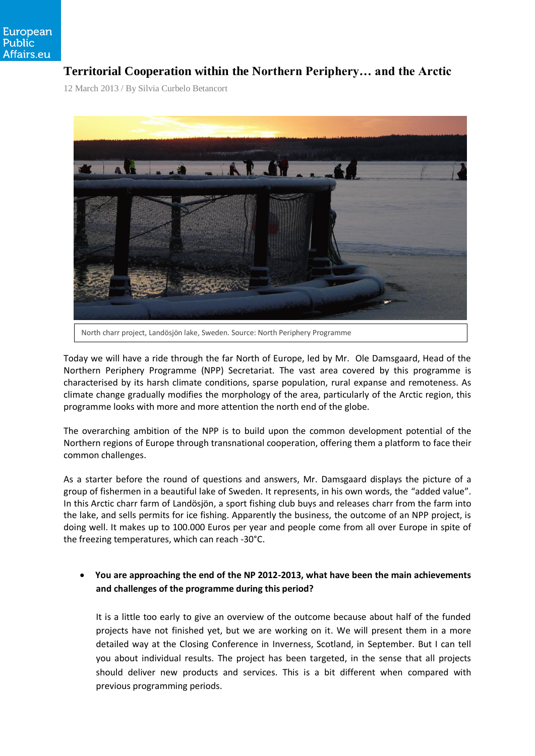# **Territorial Cooperation within the Northern Periphery… and the Arctic**

12 March 2013 / By Silvia Curbelo Betancort



Today we will have a ride through the far North of Europe, led by Mr. Ole Damsgaard, Head of the Northern Periphery Programme (NPP) Secretariat. The vast area covered by this programme is characterised by its harsh climate conditions, sparse population, rural expanse and remoteness. As climate change gradually modifies the morphology of the area, particularly of the Arctic region, this programme looks with more and more attention the north end of the globe.

The overarching ambition of the NPP is to build upon the common development potential of the Northern regions of Europe through transnational cooperation, offering them a platform to face their common challenges.

As a starter before the round of questions and answers, Mr. Damsgaard displays the picture of a group of fishermen in a beautiful lake of Sweden. It represents, in his own words, the "added value". In this Arctic charr farm of Landösjön, a sport fishing club buys and releases charr from the farm into the lake, and sells permits for ice fishing. Apparently the business, the outcome of an NPP project, is doing well. It makes up to 100.000 Euros per year and people come from all over Europe in spite of the freezing temperatures, which can reach -30°C.

 **You are approaching the end of the NP 2012-2013, what have been the main achievements and challenges of the programme during this period?**

It is a little too early to give an overview of the outcome because about half of the funded projects have not finished yet, but we are working on it. We will present them in a more detailed way at the Closing Conference in Inverness, Scotland, in September. But I can tell you about individual results. The project has been targeted, in the sense that all projects should deliver new products and services. This is a bit different when compared with previous programming periods.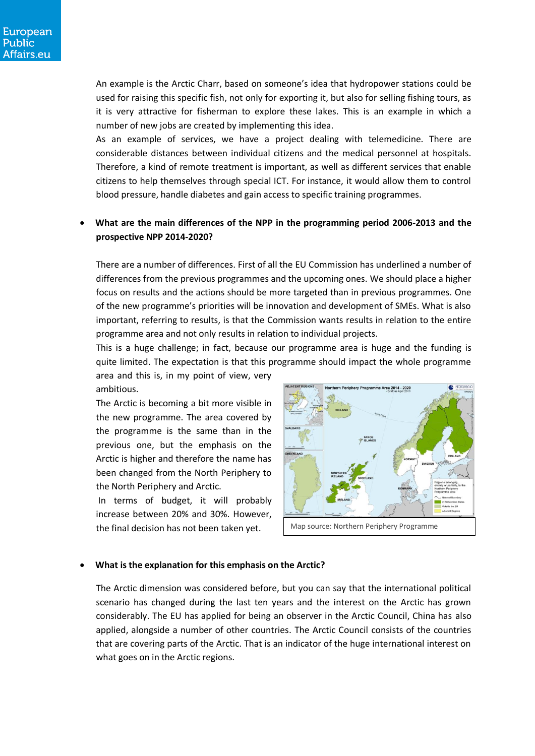An example is the [Arctic Charr,](http://www.northernperiphery.eu/en/projects/show/&tid=4) based on someone's idea that hydropower stations could be used for raising this specific fish, not only for exporting it, but also for selling fishing tours, as it is very attractive for fisherman to explore these lakes. This is an example in which a number of new jobs are created by implementing this idea.

As an example of services, we have [a project dealing with telemedicine.](http://www.northernperiphery.eu/en/projects/show/&tid=94) There are considerable distances between individual citizens and the medical personnel at hospitals. Therefore, a kind of remote treatment is important, as well as different services that enable citizens to help themselves through special ICT. For instance, it would allow them to control blood pressure, handle diabetes and gain access to specific training programmes.

# **What are the main differences of the NPP in the programming period 2006-2013 and the prospective NPP 2014-2020?**

There are a number of differences. First of all the EU Commission has underlined a number of differences from the previous programmes and the upcoming ones. We should place a higher focus on results and the actions should be more targeted than in previous programmes. One of the new programme's priorities will be innovation and development of SMEs. What is also important, referring to results, is that the Commission wants results in relation to the entire programme area and not only results in relation to individual projects.

This is a huge challenge; in fact, because our programme area is huge and the funding is quite limited. The expectation is that this programme should impact the whole programme area and this is, in my point of view, very

ambitious.

The Arctic is becoming a bit more visible in the new programme. The area covered by the programme is the same than in the previous one, but the emphasis on the Arctic is higher and therefore the name has been changed from the North Periphery to the North Periphery and Arctic.

In terms of budget, it will probably increase between 20% and 30%. However, the final decision has not been taken yet.



#### **What is the explanation for this emphasis on the Arctic?**

The Arctic dimension was considered before, but you can say that the international political scenario has changed during the last ten years and the interest on the Arctic has grown considerably. The EU has applied for being an observer in the Arctic Council, China has also applied, alongside a number of other countries. The Arctic Council consists of the countries that are covering parts of the Arctic. That is an indicator of the huge international interest on what goes on in the Arctic regions.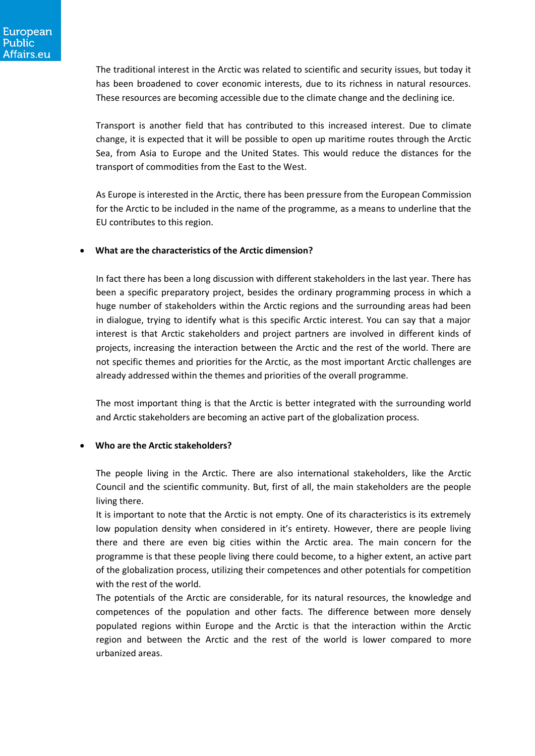The traditional interest in the Arctic was related to scientific and security issues, but today it has been broadened to cover economic interests, due to its richness in natural resources. These resources are becoming accessible due to the climate change and the declining ice.

Transport is another field that has contributed to this increased interest. Due to climate change, it is expected that it will be possible to open up maritime routes through the Arctic Sea, from Asia to Europe and the United States. This would reduce the distances for the transport of commodities from the East to the West.

As Europe is interested in the Arctic, there has been pressure from the European Commission for the Arctic to be included in the name of the programme, as a means to underline that the EU contributes to this region.

#### **What are the characteristics of the Arctic dimension?**

In fact there has been a long discussion with different stakeholders in the last year. There has been a specific preparatory project, besides the ordinary programming process in which a huge number of stakeholders within the Arctic regions and the surrounding areas had been in dialogue, trying to identify what is this specific Arctic interest. You can say that a major interest is that Arctic stakeholders and project partners are involved in different kinds of projects, increasing the interaction between the Arctic and the rest of the world. There are not specific themes and priorities for the Arctic, as the most important Arctic challenges are already addressed within the themes and priorities of the overall programme.

The most important thing is that the Arctic is better integrated with the surrounding world and Arctic stakeholders are becoming an active part of the globalization process.

## **Who are the Arctic stakeholders?**

The people living in the Arctic. There are also international stakeholders, like the Arctic Council and the scientific community. But, first of all, the main stakeholders are the people living there.

It is important to note that the Arctic is not empty. One of its characteristics is its extremely low population density when considered in it's entirety. However, there are people living there and there are even big cities within the Arctic area. The main concern for the programme is that these people living there could become, to a higher extent, an active part of the globalization process, utilizing their competences and other potentials for competition with the rest of the world.

The potentials of the Arctic are considerable, for its natural resources, the knowledge and competences of the population and other facts. The difference between more densely populated regions within Europe and the Arctic is that the interaction within the Arctic region and between the Arctic and the rest of the world is lower compared to more urbanized areas.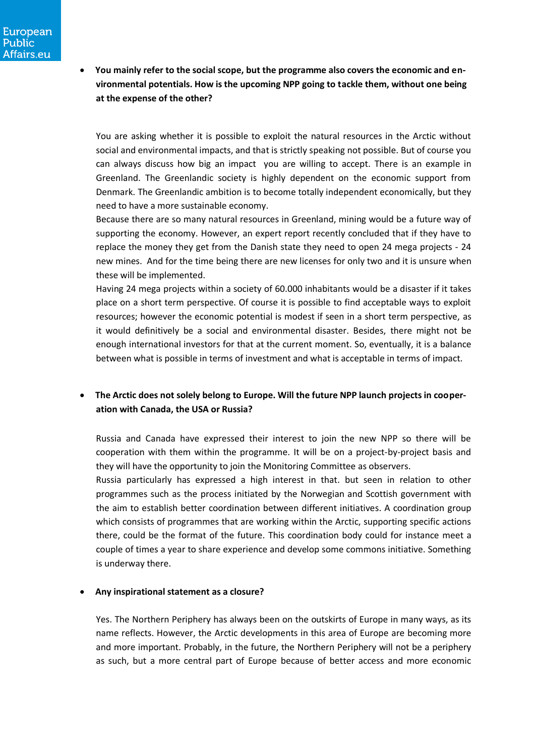**You mainly refer to the social scope, but the programme also covers the economic and environmental potentials. How is the upcoming NPP going to tackle them, without one being at the expense of the other?**

You are asking whether it is possible to exploit the natural resources in the Arctic without social and environmental impacts, and that is strictly speaking not possible. But of course you can always discuss how big an impact you are willing to accept. There is an example in Greenland. The Greenlandic society is highly dependent on the economic support from Denmark. The Greenlandic ambition is to become totally independent economically, but they need to have a more sustainable economy.

Because there are so many natural resources in Greenland, mining would be a future way of supporting the economy. However, an expert report recently concluded that if they have to replace the money they get from the Danish state they need to open 24 mega projects - 24 new mines. And for the time being there are new licenses for only two and it is unsure when these will be implemented.

Having 24 mega projects within a society of 60.000 inhabitants would be a disaster if it takes place on a short term perspective. Of course it is possible to find acceptable ways to exploit resources; however the economic potential is modest if seen in a short term perspective, as it would definitively be a social and environmental disaster. Besides, there might not be enough international investors for that at the current moment. So, eventually, it is a balance between what is possible in terms of investment and what is acceptable in terms of impact.

# **The Arctic does not solely belong to Europe. Will the future NPP launch projects in cooperation with Canada, the USA or Russia?**

Russia and Canada have expressed their interest to join the new NPP so there will be cooperation with them within the programme. It will be on a project-by-project basis and they will have the opportunity to join the Monitoring Committee as observers.

Russia particularly has expressed a high interest in that. but seen in relation to other programmes such as the process initiated by the Norwegian and Scottish government with the aim to establish better coordination between different initiatives. A coordination group which consists of programmes that are working within the Arctic, supporting specific actions there, could be the format of the future. This coordination body could for instance meet a couple of times a year to share experience and develop some commons initiative. Something is underway there.

#### **Any inspirational statement as a closure?**

Yes. The Northern Periphery has always been on the outskirts of Europe in many ways, as its name reflects. However, the Arctic developments in this area of Europe are becoming more and more important. Probably, in the future, the Northern Periphery will not be a periphery as such, but a more central part of Europe because of better access and more economic